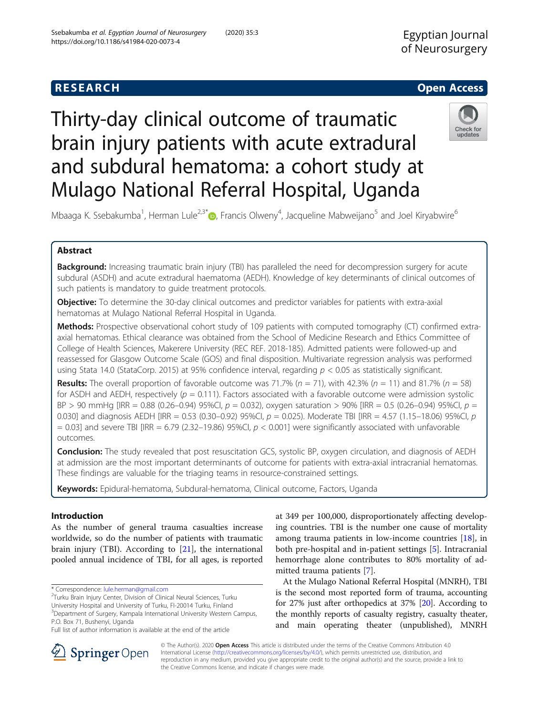## **RESEARCH CHEAR CHEAR CHEAR CHEAR CHEAR CHEAR CHEAR CHEAR CHEAR CHEAR CHEAR CHEAR CHEAR CHEAR CHEAR CHEAR CHEAR**

# Thirty-day clinical outcome of traumatic brain injury patients with acute extradural and subdural hematoma: a cohort study at Mulago National Referral Hospital, Uganda



Mbaaga K. Ssebakumba<sup>1</sup>[,](http://orcid.org/0000-0002-0647-9716) Herman Lule<sup>2,3\*</sup>®, Francis Olweny<sup>4</sup>, Jacqueline Mabweijano<sup>5</sup> and Joel Kiryabwire<sup>6</sup>

## Abstract

Background: Increasing traumatic brain injury (TBI) has paralleled the need for decompression surgery for acute subdural (ASDH) and acute extradural haematoma (AEDH). Knowledge of key determinants of clinical outcomes of such patients is mandatory to guide treatment protocols.

**Objective:** To determine the 30-day clinical outcomes and predictor variables for patients with extra-axial hematomas at Mulago National Referral Hospital in Uganda.

Methods: Prospective observational cohort study of 109 patients with computed tomography (CT) confirmed extraaxial hematomas. Ethical clearance was obtained from the School of Medicine Research and Ethics Committee of College of Health Sciences, Makerere University (REC REF. 2018-185). Admitted patients were followed-up and reassessed for Glasgow Outcome Scale (GOS) and final disposition. Multivariate regression analysis was performed using Stata 14.0 (StataCorp. 2015) at 95% confidence interval, regarding  $p < 0.05$  as statistically significant.

**Results:** The overall proportion of favorable outcome was 71.7% ( $n = 71$ ), with 42.3% ( $n = 11$ ) and 81.7% ( $n = 58$ ) for ASDH and AEDH, respectively ( $p = 0.111$ ). Factors associated with a favorable outcome were admission systolic  $BP > 90$  mmHg [IRR = 0.88 (0.26–0.94) 95%CI,  $p = 0.032$ ), oxygen saturation > 90% [IRR = 0.5 (0.26–0.94) 95%CI,  $p = 0.5$ 0.030] and diagnosis AEDH [IRR = 0.53 (0.30–0.92) 95%Cl,  $p = 0.025$ ). Moderate TBI [IRR = 4.57 (1.15–18.06) 95%Cl,  $p = 0.030$ ]  $= 0.03$ ] and severe TBI [IRR = 6.79 (2.32–19.86) 95%CI,  $p < 0.001$ ] were significantly associated with unfavorable outcomes.

Conclusion: The study revealed that post resuscitation GCS, systolic BP, oxygen circulation, and diagnosis of AEDH at admission are the most important determinants of outcome for patients with extra-axial intracranial hematomas. These findings are valuable for the triaging teams in resource-constrained settings.

Keywords: Epidural-hematoma, Subdural-hematoma, Clinical outcome, Factors, Uganda

## Introduction

As the number of general trauma casualties increase worldwide, so do the number of patients with traumatic brain injury (TBI). According to [[21](#page-11-0)], the international pooled annual incidence of TBI, for all ages, is reported

<sup>2</sup>Turku Brain Injury Center, Division of Clinical Neural Sciences, Turku University Hospital and University of Turku, FI-20014 Turku, Finland <sup>3</sup>Department of Surgery, Kampala International University Western Campus,

P.O. Box 71, Bushenyi, Uganda Full list of author information is available at the end of the article

At the Mulago National Referral Hospital (MNRH), TBI is the second most reported form of trauma, accounting for 27% just after orthopedics at 37% [\[20\]](#page-11-0). According to the monthly reports of casualty registry, casualty theater, and main operating theater (unpublished), MNRH



© The Author(s). 2020 Open Access This article is distributed under the terms of the Creative Commons Attribution 4.0 International License ([http://creativecommons.org/licenses/by/4.0/\)](http://creativecommons.org/licenses/by/4.0/), which permits unrestricted use, distribution, and reproduction in any medium, provided you give appropriate credit to the original author(s) and the source, provide a link to the Creative Commons license, and indicate if changes were made.

<sup>\*</sup> Correspondence: [lule.herman@gmail.com](mailto:lule.herman@gmail.com) <sup>2</sup>

at 349 per 100,000, disproportionately affecting developing countries. TBI is the number one cause of mortality among trauma patients in low-income countries [[18\]](#page-11-0), in both pre-hospital and in-patient settings [[5\]](#page-10-0). Intracranial hemorrhage alone contributes to 80% mortality of admitted trauma patients [[7\]](#page-10-0).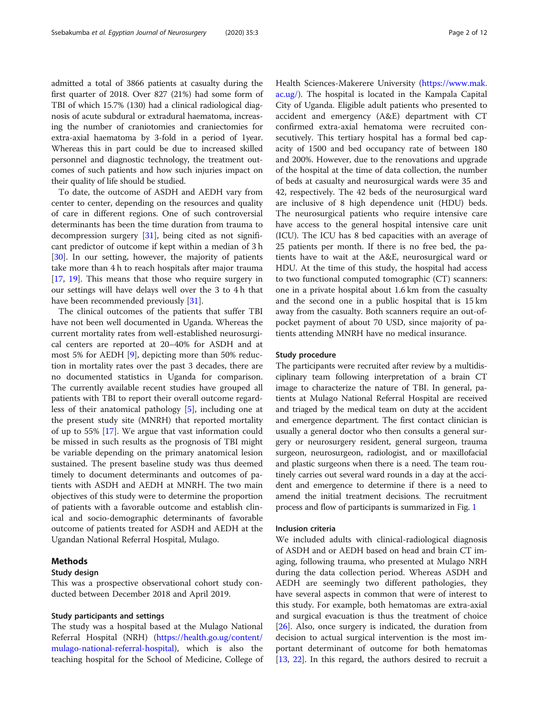admitted a total of 3866 patients at casualty during the first quarter of 2018. Over 827 (21%) had some form of TBI of which 15.7% (130) had a clinical radiological diagnosis of acute subdural or extradural haematoma, increasing the number of craniotomies and craniectomies for extra-axial haematoma by 3-fold in a period of 1year. Whereas this in part could be due to increased skilled personnel and diagnostic technology, the treatment outcomes of such patients and how such injuries impact on their quality of life should be studied.

To date, the outcome of ASDH and AEDH vary from center to center, depending on the resources and quality of care in different regions. One of such controversial determinants has been the time duration from trauma to decompression surgery [\[31](#page-11-0)], being cited as not significant predictor of outcome if kept within a median of 3 h [[30\]](#page-11-0). In our setting, however, the majority of patients take more than 4 h to reach hospitals after major trauma [[17,](#page-11-0) [19\]](#page-11-0). This means that those who require surgery in our settings will have delays well over the 3 to 4 h that have been recommended previously [[31\]](#page-11-0).

The clinical outcomes of the patients that suffer TBI have not been well documented in Uganda. Whereas the current mortality rates from well-established neurosurgical centers are reported at 20–40% for ASDH and at most 5% for AEDH [[9\]](#page-10-0), depicting more than 50% reduction in mortality rates over the past 3 decades, there are no documented statistics in Uganda for comparison. The currently available recent studies have grouped all patients with TBI to report their overall outcome regardless of their anatomical pathology [\[5\]](#page-10-0), including one at the present study site (MNRH) that reported mortality of up to 55% [\[17](#page-11-0)]. We argue that vast information could be missed in such results as the prognosis of TBI might be variable depending on the primary anatomical lesion sustained. The present baseline study was thus deemed timely to document determinants and outcomes of patients with ASDH and AEDH at MNRH. The two main objectives of this study were to determine the proportion of patients with a favorable outcome and establish clinical and socio-demographic determinants of favorable outcome of patients treated for ASDH and AEDH at the Ugandan National Referral Hospital, Mulago.

## Methods

## Study design

This was a prospective observational cohort study conducted between December 2018 and April 2019.

## Study participants and settings

The study was a hospital based at the Mulago National Referral Hospital (NRH) [\(https://health.go.ug/content/](https://health.go.ug/content/mulago-national-referral-hospital) [mulago-national-referral-hospital](https://health.go.ug/content/mulago-national-referral-hospital)), which is also the teaching hospital for the School of Medicine, College of Health Sciences-Makerere University [\(https://www.mak.](https://www.mak.ac.ug/) [ac.ug/](https://www.mak.ac.ug/)). The hospital is located in the Kampala Capital City of Uganda. Eligible adult patients who presented to accident and emergency (A&E) department with CT confirmed extra-axial hematoma were recruited consecutively. This tertiary hospital has a formal bed capacity of 1500 and bed occupancy rate of between 180 and 200%. However, due to the renovations and upgrade of the hospital at the time of data collection, the number of beds at casualty and neurosurgical wards were 35 and 42, respectively. The 42 beds of the neurosurgical ward are inclusive of 8 high dependence unit (HDU) beds. The neurosurgical patients who require intensive care have access to the general hospital intensive care unit (ICU). The ICU has 8 bed capacities with an average of 25 patients per month. If there is no free bed, the patients have to wait at the A&E, neurosurgical ward or HDU. At the time of this study, the hospital had access to two functional computed tomographic (CT) scanners: one in a private hospital about 1.6 km from the casualty and the second one in a public hospital that is 15 km away from the casualty. Both scanners require an out-of-

#### Study procedure

The participants were recruited after review by a multidisciplinary team following interpretation of a brain CT image to characterize the nature of TBI. In general, patients at Mulago National Referral Hospital are received and triaged by the medical team on duty at the accident and emergence department. The first contact clinician is usually a general doctor who then consults a general surgery or neurosurgery resident, general surgeon, trauma surgeon, neurosurgeon, radiologist, and or maxillofacial and plastic surgeons when there is a need. The team routinely carries out several ward rounds in a day at the accident and emergence to determine if there is a need to amend the initial treatment decisions. The recruitment process and flow of participants is summarized in Fig. [1](#page-2-0)

pocket payment of about 70 USD, since majority of patients attending MNRH have no medical insurance.

## Inclusion criteria

We included adults with clinical-radiological diagnosis of ASDH and or AEDH based on head and brain CT imaging, following trauma, who presented at Mulago NRH during the data collection period. Whereas ASDH and AEDH are seemingly two different pathologies, they have several aspects in common that were of interest to this study. For example, both hematomas are extra-axial and surgical evacuation is thus the treatment of choice [[26\]](#page-11-0). Also, once surgery is indicated, the duration from decision to actual surgical intervention is the most important determinant of outcome for both hematomas [[13,](#page-10-0) [22\]](#page-11-0). In this regard, the authors desired to recruit a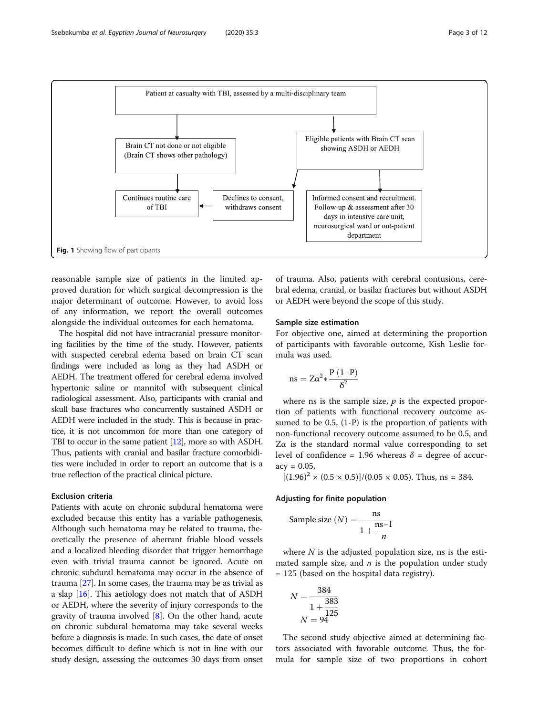<span id="page-2-0"></span>

reasonable sample size of patients in the limited approved duration for which surgical decompression is the major determinant of outcome. However, to avoid loss of any information, we report the overall outcomes alongside the individual outcomes for each hematoma.

The hospital did not have intracranial pressure monitoring facilities by the time of the study. However, patients with suspected cerebral edema based on brain CT scan findings were included as long as they had ASDH or AEDH. The treatment offered for cerebral edema involved hypertonic saline or mannitol with subsequent clinical radiological assessment. Also, participants with cranial and skull base fractures who concurrently sustained ASDH or AEDH were included in the study. This is because in practice, it is not uncommon for more than one category of TBI to occur in the same patient [[12](#page-10-0)], more so with ASDH. Thus, patients with cranial and basilar fracture comorbidities were included in order to report an outcome that is a true reflection of the practical clinical picture.

## Exclusion criteria

Patients with acute on chronic subdural hematoma were excluded because this entity has a variable pathogenesis. Although such hematoma may be related to trauma, theoretically the presence of aberrant friable blood vessels and a localized bleeding disorder that trigger hemorrhage even with trivial trauma cannot be ignored. Acute on chronic subdural hematoma may occur in the absence of trauma [\[27\]](#page-11-0). In some cases, the trauma may be as trivial as a slap [\[16\]](#page-10-0). This aetiology does not match that of ASDH or AEDH, where the severity of injury corresponds to the gravity of trauma involved [[8](#page-10-0)]. On the other hand, acute on chronic subdural hematoma may take several weeks before a diagnosis is made. In such cases, the date of onset becomes difficult to define which is not in line with our study design, assessing the outcomes 30 days from onset

of trauma. Also, patients with cerebral contusions, cerebral edema, cranial, or basilar fractures but without ASDH or AEDH were beyond the scope of this study.

## Sample size estimation

For objective one, aimed at determining the proportion of participants with favorable outcome, Kish Leslie formula was used.

$$
ns=Z\alpha^2*\frac{P\left(1{-}P\right)}{\delta^2}
$$

where ns is the sample size,  $p$  is the expected proportion of patients with functional recovery outcome assumed to be 0.5, (1-P) is the proportion of patients with non-functional recovery outcome assumed to be 0.5, and  $Z\alpha$  is the standard normal value corresponding to set level of confidence = 1.96 whereas  $\delta$  = degree of accur $accv = 0.05$ .

 $[(1.96)^{2} \times (0.5 \times 0.5)]/(0.05 \times 0.05)$ . Thus, ns = 384.

## Adjusting for finite population

Sample size 
$$
(N) = \frac{\text{ns}}{1 + \frac{\text{ns}-1}{n}}
$$

where  $N$  is the adjusted population size, ns is the estimated sample size, and  $n$  is the population under study = 125 (based on the hospital data registry).

$$
N = \frac{384}{1 + \frac{383}{125}}
$$
  

$$
N = 94
$$

The second study objective aimed at determining factors associated with favorable outcome. Thus, the formula for sample size of two proportions in cohort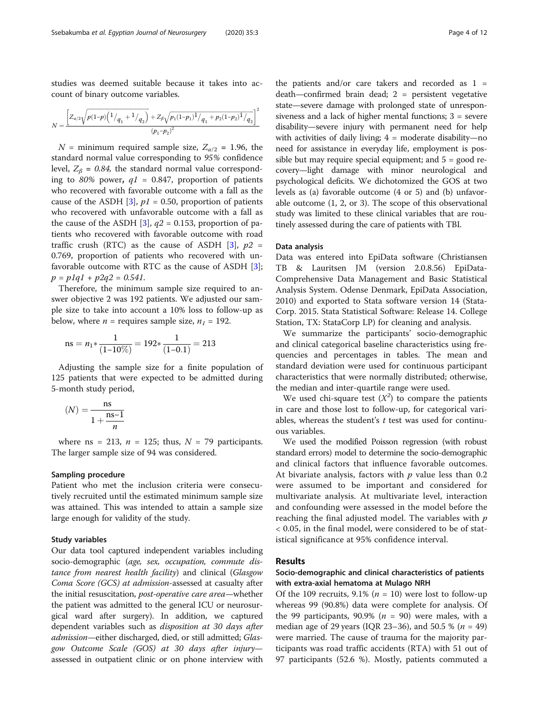studies was deemed suitable because it takes into account of binary outcome variables.

$$
N=\frac{\left[Z_{\alpha/2}\sqrt{p(1-p)\left(1/q_1+1/q_2\right)}+Z_\beta\sqrt{p_1(1-p_1)^1/q_1+p_2(1-p_2)^1/q_2}\right]^2}{(p_1-p_2)^2}
$$

ffiffiffiffiffiffiffiffiffiffiffiffiffiffiffiffiffiffiffiffiffiffiffiffiffiffiffiffiffiffiffiffiffiffiffiffiffiffiffiffiffiffiffiffiffiffi

 $N =$  minimum required sample size,  $Z_{\alpha/2} = 1.96$ , the standard normal value corresponding to 95% confidence level,  $Z_{\beta} = 0.84$ , the standard normal value corresponding to 80% power,  $q1 = 0.847$ , proportion of patients who recovered with favorable outcome with a fall as the cause of the ASDH [\[3](#page-10-0)],  $p1 = 0.50$ , proportion of patients who recovered with unfavorable outcome with a fall as the cause of the ASDH [\[3](#page-10-0)],  $q2 = 0.153$ , proportion of patients who recovered with favorable outcome with road traffic crush (RTC) as the cause of ASDH [[3\]](#page-10-0),  $p2 =$ 0.769, proportion of patients who recovered with unfavorable outcome with RTC as the cause of ASDH [\[3](#page-10-0)];  $p = p1q1 + p2q2 = 0.541.$ 

Therefore, the minimum sample size required to answer objective 2 was 192 patients. We adjusted our sample size to take into account a 10% loss to follow-up as below, where  $n =$  requires sample size,  $n_1 = 192$ .

ns = 
$$
n_1 * \frac{1}{(1-10\%)}
$$
 = 192\*  $\frac{1}{(1-0.1)}$  = 213

Adjusting the sample size for a finite population of 125 patients that were expected to be admitted during 5-month study period,

$$
(N)=\frac{\text{ns}}{1+\frac{\text{ns}-1}{n}}
$$

where ns = 213,  $n = 125$ ; thus,  $N = 79$  participants. The larger sample size of 94 was considered.

## Sampling procedure

Patient who met the inclusion criteria were consecutively recruited until the estimated minimum sample size was attained. This was intended to attain a sample size large enough for validity of the study.

### Study variables

Our data tool captured independent variables including socio-demographic (age, sex, occupation, commute distance from nearest health facility) and clinical (Glasgow Coma Score (GCS) at admission-assessed at casualty after the initial resuscitation, post-operative care area—whether the patient was admitted to the general ICU or neurosurgical ward after surgery). In addition, we captured dependent variables such as disposition at 30 days after admission—either discharged, died, or still admitted; Glasgow Outcome Scale (GOS) at 30 days after injury assessed in outpatient clinic or on phone interview with

the patients and/or care takers and recorded as  $1 =$ death—confirmed brain dead; 2 = persistent vegetative state—severe damage with prolonged state of unresponsiveness and a lack of higher mental functions; 3 = severe disability—severe injury with permanent need for help with activities of daily living;  $4 =$  moderate disability—no need for assistance in everyday life, employment is possible but may require special equipment; and  $5 =$  good recovery—light damage with minor neurological and psychological deficits. We dichotomized the GOS at two levels as (a) favorable outcome (4 or 5) and (b) unfavorable outcome (1, 2, or 3). The scope of this observational study was limited to these clinical variables that are routinely assessed during the care of patients with TBI.

#### Data analysis

Data was entered into EpiData software (Christiansen TB & Lauritsen JM (version 2.0.8.56) EpiData-Comprehensive Data Management and Basic Statistical Analysis System. Odense Denmark, EpiData Association, 2010) and exported to Stata software version 14 (Stata-Corp. 2015. Stata Statistical Software: Release 14. College Station, TX: StataCorp LP) for cleaning and analysis.

We summarize the participants' socio-demographic and clinical categorical baseline characteristics using frequencies and percentages in tables. The mean and standard deviation were used for continuous participant characteristics that were normally distributed; otherwise, the median and inter-quartile range were used.

We used chi-square test  $(X^2)$  to compare the patients in care and those lost to follow-up, for categorical variables, whereas the student's  $t$  test was used for continuous variables.

We used the modified Poisson regression (with robust standard errors) model to determine the socio-demographic and clinical factors that influence favorable outcomes. At bivariate analysis, factors with  $p$  value less than 0.2 were assumed to be important and considered for multivariate analysis. At multivariate level, interaction and confounding were assessed in the model before the reaching the final adjusted model. The variables with  $p$ < 0.05, in the final model, were considered to be of statistical significance at 95% confidence interval.

## Results

## Socio-demographic and clinical characteristics of patients with extra-axial hematoma at Mulago NRH

Of the 109 recruits, 9.1% ( $n = 10$ ) were lost to follow-up whereas 99 (90.8%) data were complete for analysis. Of the 99 participants, 90.9% ( $n = 90$ ) were males, with a median age of 29 years (IQR 23–36), and 50.5 % ( $n = 49$ ) were married. The cause of trauma for the majority participants was road traffic accidents (RTA) with 51 out of 97 participants (52.6 %). Mostly, patients commuted a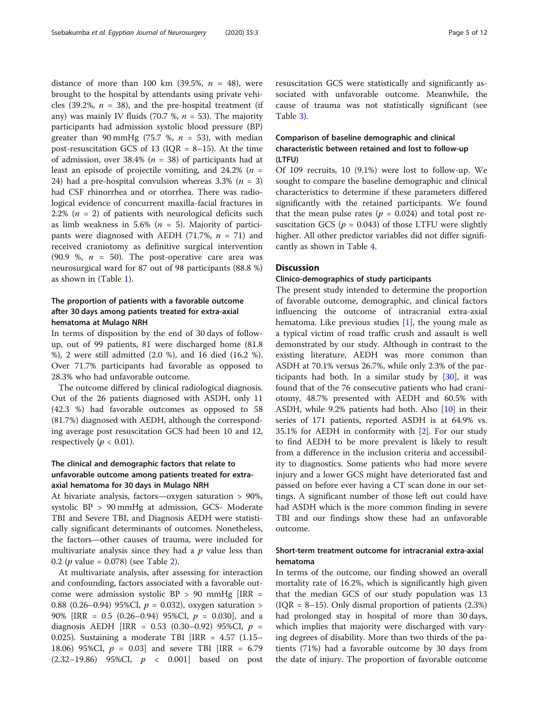distance of more than 100 km (39.5%,  $n = 48$ ), were brought to the hospital by attendants using private vehicles (39.2%,  $n = 38$ ), and the pre-hospital treatment (if any) was mainly IV fluids (70.7 %,  $n = 53$ ). The majority participants had admission systolic blood pressure (BP) greater than 90 mmHg (75.7 %,  $n = 53$ ), with median post-resuscitation GCS of 13 ( $IQR = 8-15$ ). At the time of admission, over 38.4% ( $n = 38$ ) of participants had at least an episode of projectile vomiting, and  $24.2\%$  ( $n =$ 24) had a pre-hospital convulsion whereas 3.3% ( $n = 3$ ) had CSF rhinorrhea and or otorrhea. There was radiological evidence of concurrent maxilla-facial fractures in 2.2% ( $n = 2$ ) of patients with neurological deficits such as limb weakness in 5.6% ( $n = 5$ ). Majority of participants were diagnosed with AEDH (71.7%,  $n = 71$ ) and received craniotomy as definitive surgical intervention (90.9 %,  $n = 50$ ). The post-operative care area was neurosurgical ward for 87 out of 98 participants (88.8 %) as shown in (Table [1](#page-5-0)).

## The proportion of patients with a favorable outcome after 30 days among patients treated for extra-axial hematoma at Mulago NRH

In terms of disposition by the end of 30 days of followup, out of 99 patients, 81 were discharged home (81.8 %), 2 were still admitted (2.0 %), and 16 died (16.2 %). Over 71.7% participants had favorable as opposed to 28.3% who had unfavorable outcome.

The outcome differed by clinical radiological diagnosis. Out of the 26 patients diagnosed with ASDH, only 11 (42.3 %) had favorable outcomes as opposed to 58 (81.7%) diagnosed with AEDH, although the corresponding average post resuscitation GCS had been 10 and 12, respectively ( $p < 0.01$ ).

## The clinical and demographic factors that relate to unfavorable outcome among patients treated for extraaxial hematoma for 30 days in Mulago NRH

At bivariate analysis, factors—oxygen saturation > 90%, systolic BP > 90 mmHg at admission, GCS- Moderate TBI and Severe TBI, and Diagnosis AEDH were statistically significant determinants of outcomes. Nonetheless, the factors—other causes of trauma, were included for multivariate analysis since they had a  $p$  value less than 0.[2](#page-6-0) (*p* value = 0.078) (see Table 2).

At multivariate analysis, after assessing for interaction and confounding, factors associated with a favorable outcome were admission systolic  $BP > 90$  mmHg [IRR = 0.88 (0.26–0.94) 95%CI,  $p = 0.032$ ), oxygen saturation > 90% [IRR = 0.5 (0.26–0.94) 95%CI, p = 0.030], and a diagnosis AEDH [IRR = 0.53 (0.30–0.92) 95%CI,  $p =$ 0.025). Sustaining a moderate TBI [IRR = 4.57 (1.15– 18.06) 95%CI,  $p = 0.03$  and severe TBI [IRR = 6.79]  $(2.32-19.86)$  95%CI,  $p < 0.001$  based on post

## Comparison of baseline demographic and clinical characteristic between retained and lost to follow-up (LTFU)

Of 109 recruits, 10 (9.1%) were lost to follow-up. We sought to compare the baseline demographic and clinical characteristics to determine if these parameters differed significantly with the retained participants. We found that the mean pulse rates ( $p = 0.024$ ) and total post resuscitation GCS ( $p = 0.043$ ) of those LTFU were slightly higher. All other predictor variables did not differ significantly as shown in Table [4](#page-7-0).

## **Discussion**

## Clinico-demographics of study participants

The present study intended to determine the proportion of favorable outcome, demographic, and clinical factors influencing the outcome of intracranial extra-axial hematoma. Like previous studies [\[1\]](#page-10-0), the young male as a typical victim of road traffic crush and assault is well demonstrated by our study. Although in contrast to the existing literature, AEDH was more common than ASDH at 70.1% versus 26.7%, while only 2.3% of the participants had both. In a similar study by [\[30](#page-11-0)], it was found that of the 76 consecutive patients who had craniotomy, 48.7% presented with AEDH and 60.5% with ASDH, while 9.2% patients had both. Also [[10\]](#page-10-0) in their series of 171 patients, reported ASDH is at 64.9% vs. 35.1% for AEDH in conformity with [\[2\]](#page-10-0). For our study to find AEDH to be more prevalent is likely to result from a difference in the inclusion criteria and accessibility to diagnostics. Some patients who had more severe injury and a lower GCS might have deteriorated fast and passed on before ever having a CT scan done in our settings. A significant number of those left out could have had ASDH which is the more common finding in severe TBI and our findings show these had an unfavorable outcome.

## Short-term treatment outcome for intracranial extra-axial hematoma

In terms of the outcome, our finding showed an overall mortality rate of 16.2%, which is significantly high given that the median GCS of our study population was 13  $( IQR = 8-15)$ . Only dismal proportion of patients  $(2.3%)$ had prolonged stay in hospital of more than 30 days, which implies that majority were discharged with varying degrees of disability. More than two thirds of the patients (71%) had a favorable outcome by 30 days from the date of injury. The proportion of favorable outcome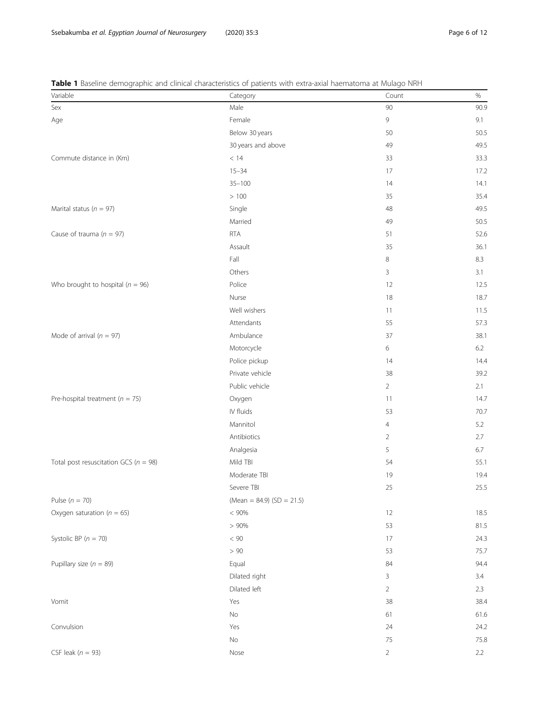| Variable                                  | Category                    | Count          | $\%$ |  |  |
|-------------------------------------------|-----------------------------|----------------|------|--|--|
| Sex                                       | Male                        | 90             | 90.9 |  |  |
| Age                                       | Female                      | 9              | 9.1  |  |  |
|                                           | Below 30 years              | 50             | 50.5 |  |  |
|                                           | 30 years and above          | 49             | 49.5 |  |  |
| Commute distance in (Km)                  | $<\,14$                     | 33             | 33.3 |  |  |
|                                           | $15 - 34$                   | 17             | 17.2 |  |  |
|                                           | $35 - 100$                  | 14             | 14.1 |  |  |
|                                           | >100                        | 35             | 35.4 |  |  |
| Marital status ( $n = 97$ )               | Single                      | 48             | 49.5 |  |  |
|                                           | Married                     | 49             | 50.5 |  |  |
| Cause of trauma ( $n = 97$ )              | <b>RTA</b>                  | 51             | 52.6 |  |  |
|                                           | Assault                     | 35             | 36.1 |  |  |
|                                           | Fall                        | 8              | 8.3  |  |  |
|                                           | Others                      | 3              | 3.1  |  |  |
| Who brought to hospital ( $n = 96$ )      | Police                      | 12             | 12.5 |  |  |
|                                           | Nurse                       | 18             | 18.7 |  |  |
|                                           | Well wishers                | 11             | 11.5 |  |  |
|                                           | Attendants                  | 55             | 57.3 |  |  |
| Mode of arrival ( $n = 97$ )              | Ambulance                   | 37             | 38.1 |  |  |
|                                           | Motorcycle                  | 6              | 6.2  |  |  |
|                                           | Police pickup               | 14             | 14.4 |  |  |
|                                           | Private vehicle             | 38             | 39.2 |  |  |
|                                           | Public vehicle              | $\overline{2}$ | 2.1  |  |  |
| Pre-hospital treatment ( $n = 75$ )       | Oxygen                      | 11             | 14.7 |  |  |
|                                           | IV fluids                   | 53             | 70.7 |  |  |
|                                           | Mannitol                    | $\overline{4}$ | 5.2  |  |  |
|                                           | Antibiotics                 | $\overline{2}$ | 2.7  |  |  |
|                                           | Analgesia                   | 5              | 6.7  |  |  |
| Total post resuscitation GCS ( $n = 98$ ) | Mild TBI                    | 54             | 55.1 |  |  |
|                                           | Moderate TBI                | 19             | 19.4 |  |  |
|                                           | Severe TBI                  | 25             | 25.5 |  |  |
| Pulse $(n = 70)$                          | (Mean = 84.9) $(SD = 21.5)$ |                |      |  |  |
| Oxygen saturation ( $n = 65$ )            | < 90%                       | 12             | 18.5 |  |  |
|                                           | $> 90\%$                    | 53             | 81.5 |  |  |
| Systolic BP $(n = 70)$                    | $< 90\,$                    | 17             | 24.3 |  |  |
|                                           | $>90\,$                     | 53             | 75.7 |  |  |
| Pupillary size ( $n = 89$ )               | Equal                       | 84             | 94.4 |  |  |
|                                           | Dilated right               | 3              | 3.4  |  |  |
|                                           | Dilated left                | $\overline{a}$ | 2.3  |  |  |
| Vomit                                     | Yes                         | 38             | 38.4 |  |  |
|                                           | $\rm No$                    | 61             | 61.6 |  |  |
| Convulsion                                | Yes                         | 24             | 24.2 |  |  |
|                                           | $\rm No$                    | $75\,$         | 75.8 |  |  |
|                                           |                             |                |      |  |  |

<span id="page-5-0"></span>Table 1 Baseline demographic and clinical characteristics of patients with extra-axial haematoma at Mulago NRH

 $CSF$  leak  $(n = 93)$  2.2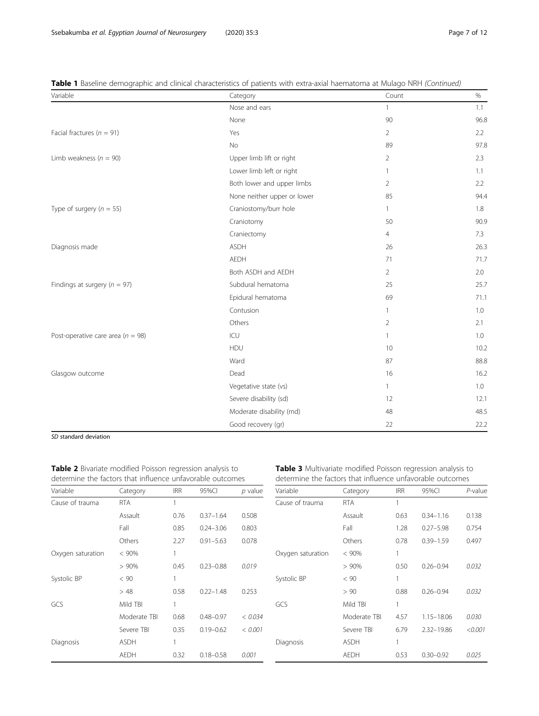| Variable                              | Category                    | Count          | $\%$ |  |
|---------------------------------------|-----------------------------|----------------|------|--|
|                                       | Nose and ears               | $\mathbf{1}$   | 1.1  |  |
|                                       | None                        | 90             | 96.8 |  |
| Facial fractures ( $n = 91$ )         | Yes                         | 2              | 2.2  |  |
|                                       | <b>No</b>                   | 89             | 97.8 |  |
| Limb weakness ( $n = 90$ )            | Upper limb lift or right    | $\overline{2}$ | 2.3  |  |
|                                       | Lower limb left or right    | 1              | 1.1  |  |
|                                       | Both lower and upper limbs  | $\overline{2}$ | 2.2  |  |
|                                       | None neither upper or lower | 85             | 94.4 |  |
| Type of surgery ( $n = 55$ )          | Craniostomy/burr hole       | $\mathbf{1}$   | 1.8  |  |
|                                       | Craniotomy                  | 50             | 90.9 |  |
|                                       | Craniectomy                 | $\overline{4}$ | 7.3  |  |
| Diagnosis made                        | <b>ASDH</b>                 | 26             | 26.3 |  |
|                                       | <b>AEDH</b>                 | 71             | 71.7 |  |
|                                       | Both ASDH and AEDH          | 2              | 2.0  |  |
| Findings at surgery ( $n = 97$ )      | Subdural hematoma           | 25             | 25.7 |  |
|                                       | Epidural hematoma           | 69             | 71.1 |  |
|                                       | Contusion                   | $\mathbf{1}$   | 1.0  |  |
|                                       | Others                      | $\overline{2}$ | 2.1  |  |
| Post-operative care area ( $n = 98$ ) | ICU                         | $\mathbf{1}$   | 1.0  |  |
|                                       | HDU                         | 10             | 10.2 |  |
|                                       | Ward                        | 87             | 88.8 |  |
| Glasgow outcome                       | Dead                        | 16             | 16.2 |  |
|                                       | Vegetative state (vs)       | $\mathbf{1}$   | 1.0  |  |
|                                       | Severe disability (sd)      | 12             | 12.1 |  |
|                                       | Moderate disability (md)    | 48             | 48.5 |  |
|                                       | Good recovery (gr)          | 22             | 22.2 |  |

<span id="page-6-0"></span>Table 1 Baseline demographic and clinical characteristics of patients with extra-axial haematoma at Mulago NRH (Continued)

SD standard deviation

Table 2 Bivariate modified Poisson regression analysis to determine the factors that influence unfavorable outcomes

| Variable          | Category     | <b>IRR</b> | 95%CI         | p value |
|-------------------|--------------|------------|---------------|---------|
| Cause of trauma   | <b>RTA</b>   | 1          |               |         |
|                   | Assault      | 0.76       | $0.37 - 1.64$ | 0.508   |
|                   | Fall         | 0.85       | $0.24 - 3.06$ | 0.803   |
|                   | Others       | 2.27       | $0.91 - 5.63$ | 0.078   |
| Oxygen saturation | $< 90\%$     | 1          |               |         |
|                   | $>90\%$      | 0.45       | $0.23 - 0.88$ | 0.019   |
| Systolic BP       | < 90         | 1          |               |         |
|                   | >48          | 0.58       | $0.22 - 1.48$ | 0.253   |
| GCS               | Mild TBI     | 1          |               |         |
|                   | Moderate TBI | 0.68       | $0.48 - 0.97$ | < 0.034 |
|                   | Severe TBI   | 0.35       | $0.19 - 0.62$ | < 0.001 |
| Diagnosis         | <b>ASDH</b>  | 1          |               |         |
|                   | <b>AEDH</b>  | 0.32       | $0.18 - 0.58$ | 0.001   |

Table 3 Multivariate modified Poisson regression analysis to determine the factors that influence unfavorable outcomes

| Variable          | Category     | <b>IRR</b> | 95%CI         | $P$ -value |
|-------------------|--------------|------------|---------------|------------|
| Cause of trauma   | <b>RTA</b>   | 1          |               |            |
|                   | Assault      | 0.63       | $0.34 - 1.16$ | 0.138      |
|                   | Fall         | 1.28       | $0.27 - 5.98$ | 0.754      |
|                   | Others       | 0.78       | $0.39 - 1.59$ | 0.497      |
| Oxygen saturation | $< 90\%$     | 1          |               |            |
|                   | >90%         | 0.50       | $0.26 - 0.94$ | 0.032      |
| Systolic BP       | < 90         | 1          |               |            |
|                   | > 90         | 0.88       | $0.26 - 0.94$ | 0.032      |
| GCS               | Mild TBI     | 1          |               |            |
|                   | Moderate TBI | 4.57       | 1.15-18.06    | 0.030      |
|                   | Severe TBI   | 6.79       | 2.32-19.86    | < 0.001    |
| Diagnosis         | <b>ASDH</b>  | 1          |               |            |
|                   | <b>AEDH</b>  | 0.53       | $0.30 - 0.92$ | 0.025      |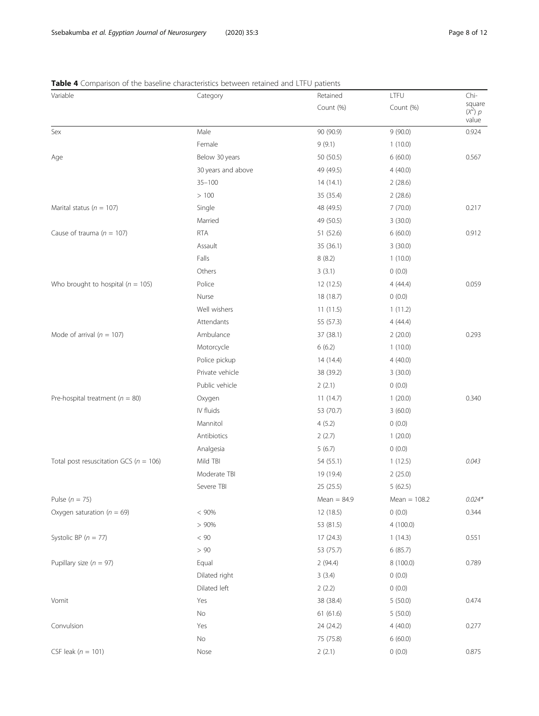## <span id="page-7-0"></span>Table 4 Comparison of the baseline characteristics between retained and LTFU patients

| square<br>Count (%)<br>Count (%)<br>$(X^2)$ p<br>value<br>0.924<br>Male<br>9(90.0)<br>Sex<br>90 (90.9)<br>Female<br>9(9.1)<br>1(10.0)<br>Below 30 years<br>50 (50.5)<br>6(60.0)<br>0.567<br>Age<br>30 years and above<br>49 (49.5)<br>4(40.0)<br>$35 - 100$<br>14(14.1)<br>2(28.6)<br>>100<br>35 (35.4)<br>2(28.6)<br>Marital status ( $n = 107$ )<br>7(70.0)<br>0.217<br>Single<br>48 (49.5)<br>Married<br>49 (50.5)<br>3(30.0)<br>Cause of trauma ( $n = 107$ )<br><b>RTA</b><br>51 (52.6)<br>0.912<br>6(60.0)<br>Assault<br>35 (36.1)<br>3(30.0)<br>Falls<br>8(8.2)<br>1(10.0)<br>Others<br>3(3.1)<br>0(0.0)<br>Police<br>0.059<br>12 (12.5)<br>4(44.4)<br>Nurse<br>18 (18.7)<br>0(0.0)<br>Well wishers<br>11(11.5)<br>1(11.2)<br>Attendants<br>55 (57.3)<br>4(44.4)<br>Ambulance<br>0.293<br>Mode of arrival ( $n = 107$ )<br>37 (38.1)<br>2(20.0)<br>Motorcycle<br>6(6.2)<br>1(10.0)<br>Police pickup<br>4(40.0)<br>14 (14.4)<br>Private vehicle<br>38 (39.2)<br>3(30.0)<br>Public vehicle<br>2(2.1)<br>0(0.0)<br>Pre-hospital treatment ( $n = 80$ )<br>11(14.7)<br>1(20.0)<br>0.340<br>Oxygen<br>IV fluids<br>53 (70.7)<br>3(60.0)<br>Mannitol<br>4(5.2)<br>0(0.0)<br>Antibiotics<br>2(2.7)<br>1(20.0)<br>Analgesia<br>5(6.7)<br>0(0.0)<br>Total post resuscitation GCS ( $n = 106$ )<br>Mild TBI<br>0.043<br>54 (55.1)<br>1(12.5)<br>Moderate TBI<br>19 (19.4)<br>2(25.0)<br>Severe TBI<br>25(25.5)<br>5(62.5)<br>$Mean = 84.9$<br>$0.024*$<br>Pulse ( $n = 75$ )<br>Mean $= 108.2$<br>< 90%<br>12 (18.5)<br>0(0.0)<br>Oxygen saturation ( $n = 69$ )<br>0.344<br>> 90%<br>53 (81.5)<br>4(100.0)<br>Systolic BP ( $n = 77$ )<br>< 90<br>17(24.3)<br>1(14.3)<br>0.551<br>> 90<br>53 (75.7)<br>6(85.7)<br>Pupillary size ( $n = 97$ )<br>0.789<br>Equal<br>2(94.4)<br>8 (100.0)<br>Dilated right<br>3(3.4)<br>0(0.0)<br>Dilated left<br>2(2.2)<br>0(0.0)<br>38 (38.4)<br>5(50.0)<br>0.474<br>Yes<br>No<br>61(61.6)<br>5(50.0)<br>Convulsion<br>Yes<br>24 (24.2)<br>4(40.0)<br>0.277<br>No<br>75 (75.8)<br>6(60.0)<br>CSF leak ( $n = 101$ )<br>0(0.0)<br>0.875<br>Nose<br>2(2.1) | Variable                              | Category | Retained | LTFU | Chi- |
|----------------------------------------------------------------------------------------------------------------------------------------------------------------------------------------------------------------------------------------------------------------------------------------------------------------------------------------------------------------------------------------------------------------------------------------------------------------------------------------------------------------------------------------------------------------------------------------------------------------------------------------------------------------------------------------------------------------------------------------------------------------------------------------------------------------------------------------------------------------------------------------------------------------------------------------------------------------------------------------------------------------------------------------------------------------------------------------------------------------------------------------------------------------------------------------------------------------------------------------------------------------------------------------------------------------------------------------------------------------------------------------------------------------------------------------------------------------------------------------------------------------------------------------------------------------------------------------------------------------------------------------------------------------------------------------------------------------------------------------------------------------------------------------------------------------------------------------------------------------------------------------------------------------------------------------------------------------------------------------------------------------------------------------------------------------------------------------|---------------------------------------|----------|----------|------|------|
|                                                                                                                                                                                                                                                                                                                                                                                                                                                                                                                                                                                                                                                                                                                                                                                                                                                                                                                                                                                                                                                                                                                                                                                                                                                                                                                                                                                                                                                                                                                                                                                                                                                                                                                                                                                                                                                                                                                                                                                                                                                                                        |                                       |          |          |      |      |
|                                                                                                                                                                                                                                                                                                                                                                                                                                                                                                                                                                                                                                                                                                                                                                                                                                                                                                                                                                                                                                                                                                                                                                                                                                                                                                                                                                                                                                                                                                                                                                                                                                                                                                                                                                                                                                                                                                                                                                                                                                                                                        |                                       |          |          |      |      |
|                                                                                                                                                                                                                                                                                                                                                                                                                                                                                                                                                                                                                                                                                                                                                                                                                                                                                                                                                                                                                                                                                                                                                                                                                                                                                                                                                                                                                                                                                                                                                                                                                                                                                                                                                                                                                                                                                                                                                                                                                                                                                        |                                       |          |          |      |      |
|                                                                                                                                                                                                                                                                                                                                                                                                                                                                                                                                                                                                                                                                                                                                                                                                                                                                                                                                                                                                                                                                                                                                                                                                                                                                                                                                                                                                                                                                                                                                                                                                                                                                                                                                                                                                                                                                                                                                                                                                                                                                                        |                                       |          |          |      |      |
|                                                                                                                                                                                                                                                                                                                                                                                                                                                                                                                                                                                                                                                                                                                                                                                                                                                                                                                                                                                                                                                                                                                                                                                                                                                                                                                                                                                                                                                                                                                                                                                                                                                                                                                                                                                                                                                                                                                                                                                                                                                                                        |                                       |          |          |      |      |
|                                                                                                                                                                                                                                                                                                                                                                                                                                                                                                                                                                                                                                                                                                                                                                                                                                                                                                                                                                                                                                                                                                                                                                                                                                                                                                                                                                                                                                                                                                                                                                                                                                                                                                                                                                                                                                                                                                                                                                                                                                                                                        |                                       |          |          |      |      |
|                                                                                                                                                                                                                                                                                                                                                                                                                                                                                                                                                                                                                                                                                                                                                                                                                                                                                                                                                                                                                                                                                                                                                                                                                                                                                                                                                                                                                                                                                                                                                                                                                                                                                                                                                                                                                                                                                                                                                                                                                                                                                        |                                       |          |          |      |      |
|                                                                                                                                                                                                                                                                                                                                                                                                                                                                                                                                                                                                                                                                                                                                                                                                                                                                                                                                                                                                                                                                                                                                                                                                                                                                                                                                                                                                                                                                                                                                                                                                                                                                                                                                                                                                                                                                                                                                                                                                                                                                                        |                                       |          |          |      |      |
|                                                                                                                                                                                                                                                                                                                                                                                                                                                                                                                                                                                                                                                                                                                                                                                                                                                                                                                                                                                                                                                                                                                                                                                                                                                                                                                                                                                                                                                                                                                                                                                                                                                                                                                                                                                                                                                                                                                                                                                                                                                                                        |                                       |          |          |      |      |
|                                                                                                                                                                                                                                                                                                                                                                                                                                                                                                                                                                                                                                                                                                                                                                                                                                                                                                                                                                                                                                                                                                                                                                                                                                                                                                                                                                                                                                                                                                                                                                                                                                                                                                                                                                                                                                                                                                                                                                                                                                                                                        |                                       |          |          |      |      |
|                                                                                                                                                                                                                                                                                                                                                                                                                                                                                                                                                                                                                                                                                                                                                                                                                                                                                                                                                                                                                                                                                                                                                                                                                                                                                                                                                                                                                                                                                                                                                                                                                                                                                                                                                                                                                                                                                                                                                                                                                                                                                        |                                       |          |          |      |      |
|                                                                                                                                                                                                                                                                                                                                                                                                                                                                                                                                                                                                                                                                                                                                                                                                                                                                                                                                                                                                                                                                                                                                                                                                                                                                                                                                                                                                                                                                                                                                                                                                                                                                                                                                                                                                                                                                                                                                                                                                                                                                                        |                                       |          |          |      |      |
|                                                                                                                                                                                                                                                                                                                                                                                                                                                                                                                                                                                                                                                                                                                                                                                                                                                                                                                                                                                                                                                                                                                                                                                                                                                                                                                                                                                                                                                                                                                                                                                                                                                                                                                                                                                                                                                                                                                                                                                                                                                                                        |                                       |          |          |      |      |
|                                                                                                                                                                                                                                                                                                                                                                                                                                                                                                                                                                                                                                                                                                                                                                                                                                                                                                                                                                                                                                                                                                                                                                                                                                                                                                                                                                                                                                                                                                                                                                                                                                                                                                                                                                                                                                                                                                                                                                                                                                                                                        |                                       |          |          |      |      |
|                                                                                                                                                                                                                                                                                                                                                                                                                                                                                                                                                                                                                                                                                                                                                                                                                                                                                                                                                                                                                                                                                                                                                                                                                                                                                                                                                                                                                                                                                                                                                                                                                                                                                                                                                                                                                                                                                                                                                                                                                                                                                        | Who brought to hospital ( $n = 105$ ) |          |          |      |      |
|                                                                                                                                                                                                                                                                                                                                                                                                                                                                                                                                                                                                                                                                                                                                                                                                                                                                                                                                                                                                                                                                                                                                                                                                                                                                                                                                                                                                                                                                                                                                                                                                                                                                                                                                                                                                                                                                                                                                                                                                                                                                                        |                                       |          |          |      |      |
|                                                                                                                                                                                                                                                                                                                                                                                                                                                                                                                                                                                                                                                                                                                                                                                                                                                                                                                                                                                                                                                                                                                                                                                                                                                                                                                                                                                                                                                                                                                                                                                                                                                                                                                                                                                                                                                                                                                                                                                                                                                                                        |                                       |          |          |      |      |
|                                                                                                                                                                                                                                                                                                                                                                                                                                                                                                                                                                                                                                                                                                                                                                                                                                                                                                                                                                                                                                                                                                                                                                                                                                                                                                                                                                                                                                                                                                                                                                                                                                                                                                                                                                                                                                                                                                                                                                                                                                                                                        |                                       |          |          |      |      |
|                                                                                                                                                                                                                                                                                                                                                                                                                                                                                                                                                                                                                                                                                                                                                                                                                                                                                                                                                                                                                                                                                                                                                                                                                                                                                                                                                                                                                                                                                                                                                                                                                                                                                                                                                                                                                                                                                                                                                                                                                                                                                        |                                       |          |          |      |      |
|                                                                                                                                                                                                                                                                                                                                                                                                                                                                                                                                                                                                                                                                                                                                                                                                                                                                                                                                                                                                                                                                                                                                                                                                                                                                                                                                                                                                                                                                                                                                                                                                                                                                                                                                                                                                                                                                                                                                                                                                                                                                                        |                                       |          |          |      |      |
|                                                                                                                                                                                                                                                                                                                                                                                                                                                                                                                                                                                                                                                                                                                                                                                                                                                                                                                                                                                                                                                                                                                                                                                                                                                                                                                                                                                                                                                                                                                                                                                                                                                                                                                                                                                                                                                                                                                                                                                                                                                                                        |                                       |          |          |      |      |
|                                                                                                                                                                                                                                                                                                                                                                                                                                                                                                                                                                                                                                                                                                                                                                                                                                                                                                                                                                                                                                                                                                                                                                                                                                                                                                                                                                                                                                                                                                                                                                                                                                                                                                                                                                                                                                                                                                                                                                                                                                                                                        |                                       |          |          |      |      |
|                                                                                                                                                                                                                                                                                                                                                                                                                                                                                                                                                                                                                                                                                                                                                                                                                                                                                                                                                                                                                                                                                                                                                                                                                                                                                                                                                                                                                                                                                                                                                                                                                                                                                                                                                                                                                                                                                                                                                                                                                                                                                        |                                       |          |          |      |      |
|                                                                                                                                                                                                                                                                                                                                                                                                                                                                                                                                                                                                                                                                                                                                                                                                                                                                                                                                                                                                                                                                                                                                                                                                                                                                                                                                                                                                                                                                                                                                                                                                                                                                                                                                                                                                                                                                                                                                                                                                                                                                                        |                                       |          |          |      |      |
|                                                                                                                                                                                                                                                                                                                                                                                                                                                                                                                                                                                                                                                                                                                                                                                                                                                                                                                                                                                                                                                                                                                                                                                                                                                                                                                                                                                                                                                                                                                                                                                                                                                                                                                                                                                                                                                                                                                                                                                                                                                                                        |                                       |          |          |      |      |
|                                                                                                                                                                                                                                                                                                                                                                                                                                                                                                                                                                                                                                                                                                                                                                                                                                                                                                                                                                                                                                                                                                                                                                                                                                                                                                                                                                                                                                                                                                                                                                                                                                                                                                                                                                                                                                                                                                                                                                                                                                                                                        |                                       |          |          |      |      |
|                                                                                                                                                                                                                                                                                                                                                                                                                                                                                                                                                                                                                                                                                                                                                                                                                                                                                                                                                                                                                                                                                                                                                                                                                                                                                                                                                                                                                                                                                                                                                                                                                                                                                                                                                                                                                                                                                                                                                                                                                                                                                        |                                       |          |          |      |      |
|                                                                                                                                                                                                                                                                                                                                                                                                                                                                                                                                                                                                                                                                                                                                                                                                                                                                                                                                                                                                                                                                                                                                                                                                                                                                                                                                                                                                                                                                                                                                                                                                                                                                                                                                                                                                                                                                                                                                                                                                                                                                                        |                                       |          |          |      |      |
|                                                                                                                                                                                                                                                                                                                                                                                                                                                                                                                                                                                                                                                                                                                                                                                                                                                                                                                                                                                                                                                                                                                                                                                                                                                                                                                                                                                                                                                                                                                                                                                                                                                                                                                                                                                                                                                                                                                                                                                                                                                                                        |                                       |          |          |      |      |
|                                                                                                                                                                                                                                                                                                                                                                                                                                                                                                                                                                                                                                                                                                                                                                                                                                                                                                                                                                                                                                                                                                                                                                                                                                                                                                                                                                                                                                                                                                                                                                                                                                                                                                                                                                                                                                                                                                                                                                                                                                                                                        |                                       |          |          |      |      |
|                                                                                                                                                                                                                                                                                                                                                                                                                                                                                                                                                                                                                                                                                                                                                                                                                                                                                                                                                                                                                                                                                                                                                                                                                                                                                                                                                                                                                                                                                                                                                                                                                                                                                                                                                                                                                                                                                                                                                                                                                                                                                        |                                       |          |          |      |      |
|                                                                                                                                                                                                                                                                                                                                                                                                                                                                                                                                                                                                                                                                                                                                                                                                                                                                                                                                                                                                                                                                                                                                                                                                                                                                                                                                                                                                                                                                                                                                                                                                                                                                                                                                                                                                                                                                                                                                                                                                                                                                                        |                                       |          |          |      |      |
|                                                                                                                                                                                                                                                                                                                                                                                                                                                                                                                                                                                                                                                                                                                                                                                                                                                                                                                                                                                                                                                                                                                                                                                                                                                                                                                                                                                                                                                                                                                                                                                                                                                                                                                                                                                                                                                                                                                                                                                                                                                                                        |                                       |          |          |      |      |
|                                                                                                                                                                                                                                                                                                                                                                                                                                                                                                                                                                                                                                                                                                                                                                                                                                                                                                                                                                                                                                                                                                                                                                                                                                                                                                                                                                                                                                                                                                                                                                                                                                                                                                                                                                                                                                                                                                                                                                                                                                                                                        |                                       |          |          |      |      |
|                                                                                                                                                                                                                                                                                                                                                                                                                                                                                                                                                                                                                                                                                                                                                                                                                                                                                                                                                                                                                                                                                                                                                                                                                                                                                                                                                                                                                                                                                                                                                                                                                                                                                                                                                                                                                                                                                                                                                                                                                                                                                        |                                       |          |          |      |      |
|                                                                                                                                                                                                                                                                                                                                                                                                                                                                                                                                                                                                                                                                                                                                                                                                                                                                                                                                                                                                                                                                                                                                                                                                                                                                                                                                                                                                                                                                                                                                                                                                                                                                                                                                                                                                                                                                                                                                                                                                                                                                                        |                                       |          |          |      |      |
|                                                                                                                                                                                                                                                                                                                                                                                                                                                                                                                                                                                                                                                                                                                                                                                                                                                                                                                                                                                                                                                                                                                                                                                                                                                                                                                                                                                                                                                                                                                                                                                                                                                                                                                                                                                                                                                                                                                                                                                                                                                                                        |                                       |          |          |      |      |
|                                                                                                                                                                                                                                                                                                                                                                                                                                                                                                                                                                                                                                                                                                                                                                                                                                                                                                                                                                                                                                                                                                                                                                                                                                                                                                                                                                                                                                                                                                                                                                                                                                                                                                                                                                                                                                                                                                                                                                                                                                                                                        |                                       |          |          |      |      |
|                                                                                                                                                                                                                                                                                                                                                                                                                                                                                                                                                                                                                                                                                                                                                                                                                                                                                                                                                                                                                                                                                                                                                                                                                                                                                                                                                                                                                                                                                                                                                                                                                                                                                                                                                                                                                                                                                                                                                                                                                                                                                        |                                       |          |          |      |      |
|                                                                                                                                                                                                                                                                                                                                                                                                                                                                                                                                                                                                                                                                                                                                                                                                                                                                                                                                                                                                                                                                                                                                                                                                                                                                                                                                                                                                                                                                                                                                                                                                                                                                                                                                                                                                                                                                                                                                                                                                                                                                                        | Vomit                                 |          |          |      |      |
|                                                                                                                                                                                                                                                                                                                                                                                                                                                                                                                                                                                                                                                                                                                                                                                                                                                                                                                                                                                                                                                                                                                                                                                                                                                                                                                                                                                                                                                                                                                                                                                                                                                                                                                                                                                                                                                                                                                                                                                                                                                                                        |                                       |          |          |      |      |
|                                                                                                                                                                                                                                                                                                                                                                                                                                                                                                                                                                                                                                                                                                                                                                                                                                                                                                                                                                                                                                                                                                                                                                                                                                                                                                                                                                                                                                                                                                                                                                                                                                                                                                                                                                                                                                                                                                                                                                                                                                                                                        |                                       |          |          |      |      |
|                                                                                                                                                                                                                                                                                                                                                                                                                                                                                                                                                                                                                                                                                                                                                                                                                                                                                                                                                                                                                                                                                                                                                                                                                                                                                                                                                                                                                                                                                                                                                                                                                                                                                                                                                                                                                                                                                                                                                                                                                                                                                        |                                       |          |          |      |      |
|                                                                                                                                                                                                                                                                                                                                                                                                                                                                                                                                                                                                                                                                                                                                                                                                                                                                                                                                                                                                                                                                                                                                                                                                                                                                                                                                                                                                                                                                                                                                                                                                                                                                                                                                                                                                                                                                                                                                                                                                                                                                                        |                                       |          |          |      |      |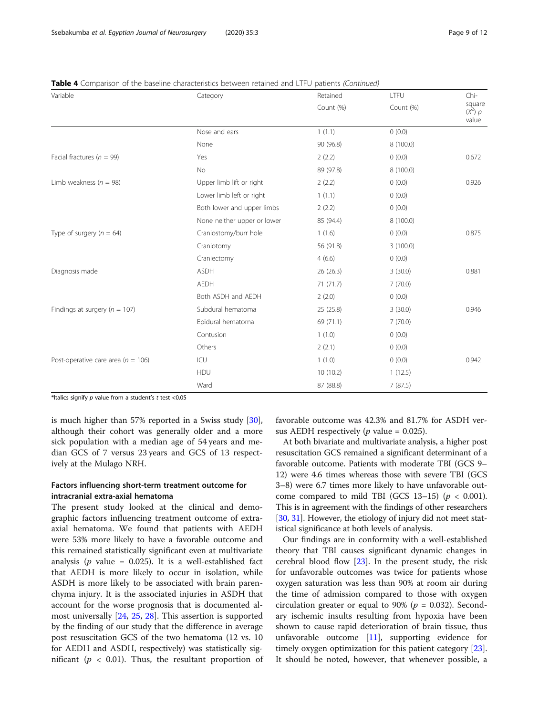| Variable                               | Category                    | Retained  | LTFU      | Chi-                         |
|----------------------------------------|-----------------------------|-----------|-----------|------------------------------|
|                                        |                             | Count (%) | Count (%) | square<br>$(x^2)$ p<br>value |
|                                        | Nose and ears               | 1(1.1)    | (0.0)     |                              |
|                                        | None                        | 90 (96.8) | 8 (100.0) |                              |
| Facial fractures ( $n = 99$ )          | Yes                         | 2(2.2)    | (0.0)     | 0.672                        |
|                                        | No                          | 89 (97.8) | 8 (100.0) |                              |
| Limb weakness ( $n = 98$ )             | Upper limb lift or right    | 2(2.2)    | 0(0.0)    | 0.926                        |
|                                        | Lower limb left or right    | 1(1.1)    | 0(0.0)    |                              |
|                                        | Both lower and upper limbs  | 2(2.2)    | 0(0.0)    |                              |
|                                        | None neither upper or lower | 85 (94.4) | 8 (100.0) |                              |
| Type of surgery ( $n = 64$ )           | Craniostomy/burr hole       | 1(1.6)    | (0.0)     | 0.875                        |
|                                        | Craniotomy                  | 56 (91.8) | 3(100.0)  |                              |
|                                        | Craniectomy                 | 4(6.6)    | 0(0.0)    |                              |
| Diagnosis made                         | <b>ASDH</b>                 | 26 (26.3) | 3(30.0)   | 0.881                        |
|                                        | <b>AEDH</b>                 | 71 (71.7) | 7(70.0)   |                              |
|                                        | Both ASDH and AEDH          | 2(2.0)    | (0.0)     |                              |
| Findings at surgery ( $n = 107$ )      | Subdural hematoma           | 25(25.8)  | 3(30.0)   | 0.946                        |
|                                        | Epidural hematoma           | 69 (71.1) | 7(70.0)   |                              |
|                                        | Contusion                   | 1(1.0)    | 0(0.0)    |                              |
|                                        | Others                      | 2(2.1)    | 0(0.0)    |                              |
| Post-operative care area ( $n = 106$ ) | ICU                         | 1(1.0)    | 0(0.0)    | 0.942                        |
|                                        | HDU                         | 10 (10.2) | 1(12.5)   |                              |
|                                        | Ward                        | 87 (88.8) | 7(87.5)   |                              |

Table 4 Comparison of the baseline characteristics between retained and LTFU patients (Continued)

\*Italics signify  $p$  value from a student's  $t$  test <0.05

is much higher than 57% reported in a Swiss study [\[30](#page-11-0)], although their cohort was generally older and a more sick population with a median age of 54 years and median GCS of 7 versus 23 years and GCS of 13 respectively at the Mulago NRH.

## Factors influencing short-term treatment outcome for intracranial extra-axial hematoma

The present study looked at the clinical and demographic factors influencing treatment outcome of extraaxial hematoma. We found that patients with AEDH were 53% more likely to have a favorable outcome and this remained statistically significant even at multivariate analysis ( $p$  value = 0.025). It is a well-established fact that AEDH is more likely to occur in isolation, while ASDH is more likely to be associated with brain parenchyma injury. It is the associated injuries in ASDH that account for the worse prognosis that is documented almost universally [\[24,](#page-11-0) [25](#page-11-0), [28](#page-11-0)]. This assertion is supported by the finding of our study that the difference in average post resuscitation GCS of the two hematoma (12 vs. 10 for AEDH and ASDH, respectively) was statistically significant ( $p < 0.01$ ). Thus, the resultant proportion of favorable outcome was 42.3% and 81.7% for ASDH versus AEDH respectively ( $p$  value = 0.025).

At both bivariate and multivariate analysis, a higher post resuscitation GCS remained a significant determinant of a favorable outcome. Patients with moderate TBI (GCS 9– 12) were 4.6 times whereas those with severe TBI (GCS 3–8) were 6.7 times more likely to have unfavorable outcome compared to mild TBI (GCS 13-15) ( $p < 0.001$ ). This is in agreement with the findings of other researchers [[30](#page-11-0), [31\]](#page-11-0). However, the etiology of injury did not meet statistical significance at both levels of analysis.

Our findings are in conformity with a well-established theory that TBI causes significant dynamic changes in cerebral blood flow [[23\]](#page-11-0). In the present study, the risk for unfavorable outcomes was twice for patients whose oxygen saturation was less than 90% at room air during the time of admission compared to those with oxygen circulation greater or equal to 90% ( $p = 0.032$ ). Secondary ischemic insults resulting from hypoxia have been shown to cause rapid deterioration of brain tissue, thus unfavorable outcome [[11\]](#page-10-0), supporting evidence for timely oxygen optimization for this patient category [\[23](#page-11-0)]. It should be noted, however, that whenever possible, a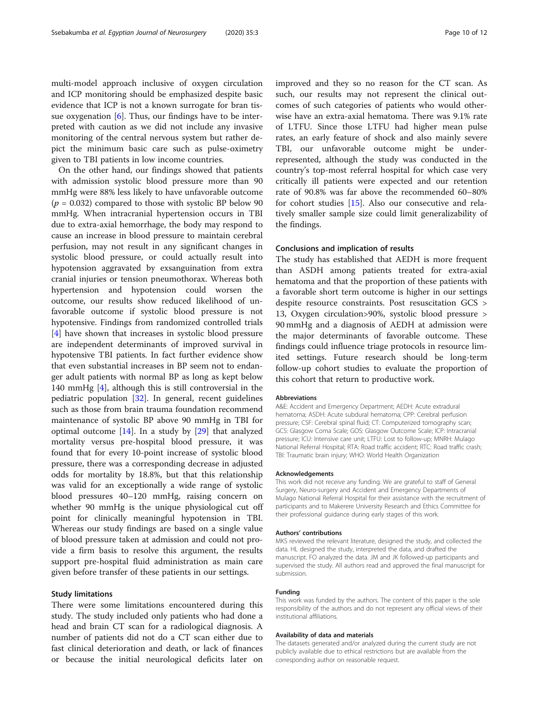multi-model approach inclusive of oxygen circulation and ICP monitoring should be emphasized despite basic evidence that ICP is not a known surrogate for bran tissue oxygenation  $[6]$  $[6]$ . Thus, our findings have to be interpreted with caution as we did not include any invasive monitoring of the central nervous system but rather depict the minimum basic care such as pulse-oximetry given to TBI patients in low income countries.

On the other hand, our findings showed that patients with admission systolic blood pressure more than 90 mmHg were 88% less likely to have unfavorable outcome  $(p = 0.032)$  compared to those with systolic BP below 90 mmHg. When intracranial hypertension occurs in TBI due to extra-axial hemorrhage, the body may respond to cause an increase in blood pressure to maintain cerebral perfusion, may not result in any significant changes in systolic blood pressure, or could actually result into hypotension aggravated by exsanguination from extra cranial injuries or tension pneumothorax. Whereas both hypertension and hypotension could worsen the outcome, our results show reduced likelihood of unfavorable outcome if systolic blood pressure is not hypotensive. Findings from randomized controlled trials [[4\]](#page-10-0) have shown that increases in systolic blood pressure are independent determinants of improved survival in hypotensive TBI patients. In fact further evidence show that even substantial increases in BP seem not to endanger adult patients with normal BP as long as kept below 140 mmHg [\[4](#page-10-0)], although this is still controversial in the pediatric population [\[32](#page-11-0)]. In general, recent guidelines such as those from brain trauma foundation recommend maintenance of systolic BP above 90 mmHg in TBI for optimal outcome [[14\]](#page-10-0). In a study by [\[29](#page-11-0)] that analyzed mortality versus pre-hospital blood pressure, it was found that for every 10-point increase of systolic blood pressure, there was a corresponding decrease in adjusted odds for mortality by 18.8%, but that this relationship was valid for an exceptionally a wide range of systolic blood pressures 40–120 mmHg, raising concern on whether 90 mmHg is the unique physiological cut off point for clinically meaningful hypotension in TBI. Whereas our study findings are based on a single value of blood pressure taken at admission and could not provide a firm basis to resolve this argument, the results support pre-hospital fluid administration as main care given before transfer of these patients in our settings.

## Study limitations

There were some limitations encountered during this study. The study included only patients who had done a head and brain CT scan for a radiological diagnosis. A number of patients did not do a CT scan either due to fast clinical deterioration and death, or lack of finances or because the initial neurological deficits later on

improved and they so no reason for the CT scan. As such, our results may not represent the clinical outcomes of such categories of patients who would otherwise have an extra-axial hematoma. There was 9.1% rate of LTFU. Since those LTFU had higher mean pulse rates, an early feature of shock and also mainly severe TBI, our unfavorable outcome might be underrepresented, although the study was conducted in the country's top-most referral hospital for which case very critically ill patients were expected and our retention rate of 90.8% was far above the recommended 60–80% for cohort studies [[15\]](#page-10-0). Also our consecutive and relatively smaller sample size could limit generalizability of the findings.

## Conclusions and implication of results

The study has established that AEDH is more frequent than ASDH among patients treated for extra-axial hematoma and that the proportion of these patients with a favorable short term outcome is higher in our settings despite resource constraints. Post resuscitation GCS > 13, Oxygen circulation>90%, systolic blood pressure > 90 mmHg and a diagnosis of AEDH at admission were the major determinants of favorable outcome. These findings could influence triage protocols in resource limited settings. Future research should be long-term follow-up cohort studies to evaluate the proportion of this cohort that return to productive work.

#### Abbreviations

A&E: Accident and Emergency Department; AEDH: Acute extradural hematoma; ASDH: Acute subdural hematoma; CPP: Cerebral perfusion pressure; CSF: Cerebral spinal fluid; CT: Computerized tomography scan; GCS: Glasgow Coma Scale; GOS: Glasgow Outcome Scale; ICP: Intracranial pressure; ICU: Intensive care unit; LTFU: Lost to follow-up; MNRH: Mulago National Referral Hospital; RTA: Road traffic accident; RTC: Road traffic crash; TBI: Traumatic brain injury; WHO: World Health Organization

#### Acknowledgements

This work did not receive any funding. We are grateful to staff of General Surgery, Neuro-surgery and Accident and Emergency Departments of Mulago National Referral Hospital for their assistance with the recruitment of participants and to Makerere University Research and Ethics Committee for their professional guidance during early stages of this work.

#### Authors' contributions

MKS reviewed the relevant literature, designed the study, and collected the data. HL designed the study, interpreted the data, and drafted the manuscript. FO analyzed the data. JM and JK followed-up participants and supervised the study. All authors read and approved the final manuscript for submission.

#### Funding

This work was funded by the authors. The content of this paper is the sole responsibility of the authors and do not represent any official views of their institutional affiliations.

#### Availability of data and materials

The datasets generated and/or analyzed during the current study are not publicly available due to ethical restrictions but are available from the corresponding author on reasonable request.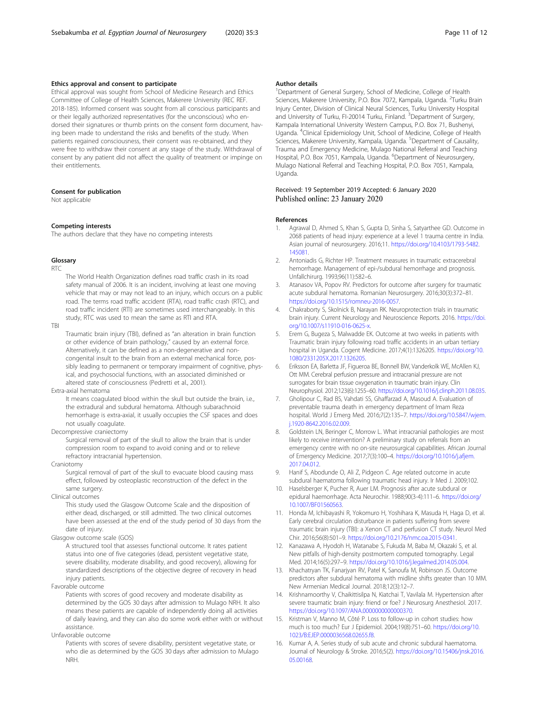## <span id="page-10-0"></span>Ethics approval and consent to participate

Ethical approval was sought from School of Medicine Research and Ethics Committee of College of Health Sciences, Makerere University (REC REF. 2018-185). Informed consent was sought from all conscious participants and or their legally authorized representatives (for the unconscious) who endorsed their signatures or thumb prints on the consent form document, having been made to understand the risks and benefits of the study. When patients regained consciousness, their consent was re-obtained, and they were free to withdraw their consent at any stage of the study. Withdrawal of consent by any patient did not affect the quality of treatment or impinge on their entitlements.

## Consent for publication

Not applicable

#### Competing interests

The authors declare that they have no competing interests

## Glossary

RTC

The World Health Organization defines road traffic crash in its road safety manual of 2006. It is an incident, involving at least one moving vehicle that may or may not lead to an injury, which occurs on a public road. The terms road traffic accident (RTA), road traffic crash (RTC), and road traffic incident (RTI) are sometimes used interchangeably. In this study, RTC was used to mean the same as RTI and RTA.

TBI

Traumatic brain injury (TBI), defined as "an alteration in brain function or other evidence of brain pathology," caused by an external force. Alternatively, it can be defined as a non-degenerative and noncongenital insult to the brain from an external mechanical force, possibly leading to permanent or temporary impairment of cognitive, physical, and psychosocial functions, with an associated diminished or altered state of consciousness (Pedretti et al., 2001).

Extra-axial hematoma

It means coagulated blood within the skull but outside the brain, i.e., the extradural and subdural hematoma. Although subarachnoid hemorrhage is extra-axial, it usually occupies the CSF spaces and does not usually coagulate.

Decompressive craniectomy

Surgical removal of part of the skull to allow the brain that is under compression room to expand to avoid coning and or to relieve refractory intracranial hypertension.

Craniotomy

Surgical removal of part of the skull to evacuate blood causing mass effect, followed by osteoplastic reconstruction of the defect in the same surgery.

Clinical outcomes

This study used the Glasgow Outcome Scale and the disposition of either dead, discharged, or still admitted. The two clinical outcomes have been assessed at the end of the study period of 30 days from the date of injury.

## Glasgow outcome scale (GOS)

A structured tool that assesses functional outcome. It rates patient status into one of five categories (dead, persistent vegetative state, severe disability, moderate disability, and good recovery), allowing for standardized descriptions of the objective degree of recovery in head injury patients.

Favorable outcome

Patients with scores of good recovery and moderate disability as determined by the GOS 30 days after admission to Mulago NRH. It also means these patients are capable of independently doing all activities of daily leaving, and they can also do some work either with or without assistance.

Unfavorable outcome

Patients with scores of severe disability, persistent vegetative state, or who die as determined by the GOS 30 days after admission to Mulago NRH.

#### Author details

<sup>1</sup>Department of General Surgery, School of Medicine, College of Health Sciences, Makerere University, P.O. Box 7072, Kampala, Uganda. <sup>2</sup>Turku Brain Injury Center, Division of Clinical Neural Sciences, Turku University Hospital and University of Turku, FI-20014 Turku, Finland. <sup>3</sup>Department of Surgery, Kampala International University Western Campus, P.O. Box 71, Bushenyi, Uganda. <sup>4</sup> Clinical Epidemiology Unit, School of Medicine, College of Health Sciences, Makerere University, Kampala, Uganda. <sup>5</sup>Department of Causality Trauma and Emergency Medicine, Mulago National Referral and Teaching Hospital, P.O. Box 7051, Kampala, Uganda. <sup>6</sup>Department of Neurosurgery Mulago National Referral and Teaching Hospital, P.O. Box 7051, Kampala, Uganda.

## Received: 19 September 2019 Accepted: 6 January 2020 Published online: 23 January 2020

#### References

- Agrawal D, Ahmed S, Khan S, Gupta D, Sinha S, Satyarthee GD. Outcome in 2068 patients of head injury: experience at a level 1 trauma centre in India. Asian journal of neurosurgery. 2016;11. [https://doi.org/10.4103/1793-5482.](https://doi.org/10.4103/1793-5482.145081) [145081](https://doi.org/10.4103/1793-5482.145081).
- 2. Antoniadis G, Richter HP. Treatment measures in traumatic extracerebral hemorrhage. Management of epi-/subdural hemorrhage and prognosis. Unfallchirurg. 1993;96(11):582–6.
- 3. Atanasov VA, Popov RV. Predictors for outcome after surgery for traumatic acute subdural hematoma. Romanian Neurosurgery. 2016;30(3):372–81. [https://doi.org/10.1515/romneu-2016-0057.](https://doi.org/10.1515/romneu-2016-0057)
- 4. Chakraborty S, Skolnick B, Narayan RK. Neuroprotection trials in traumatic brain injury. Current Neurology and Neuroscience Reports. 2016. [https://doi.](https://doi.org/10.1007/s11910-016-0625-x) [org/10.1007/s11910-016-0625-x.](https://doi.org/10.1007/s11910-016-0625-x)
- 5. Erem G, Bugeza S, Malwadde EK. Outcome at two weeks in patients with Traumatic brain injury following road traffic accidents in an urban tertiary hospital in Uganda. Cogent Medicine. 2017;4(1):1326205. [https://doi.org/10.](https://doi.org/10.1080/2331205X.2017.1326205) [1080/2331205X.2017.1326205](https://doi.org/10.1080/2331205X.2017.1326205).
- Eriksson EA, Barletta JF, Figueroa BE, Bonnell BW, Vanderkolk WE, McAllen KJ, Ott MM. Cerebral perfusion pressure and intracranial pressure are not surrogates for brain tissue oxygenation in traumatic brain injury. Clin Neurophysiol. 2012;123(6):1255–60. [https://doi.org/10.1016/j.clinph.2011.08.035.](https://doi.org/10.1016/j.clinph.2011.08.035)
- 7. Gholipour C, Rad BS, Vahdati SS, Ghaffarzad A, Masoud A. Evaluation of preventable trauma death in emergency department of Imam Reza hospital. World J Emerg Med. 2016;7(2):135–7. [https://doi.org/10.5847/wjem.](https://doi.org/10.5847/wjem.j.1920-8642.2016.02.009) [j.1920-8642.2016.02.009](https://doi.org/10.5847/wjem.j.1920-8642.2016.02.009).
- 8. Goldstein LN, Beringer C, Morrow L. What intracranial pathologies are most likely to receive intervention? A preliminary study on referrals from an emergency centre with no on-site neurosurgical capabilities. African Journal of Emergency Medicine. 2017;7(3):100–4. [https://doi.org/10.1016/j.afjem.](https://doi.org/10.1016/j.afjem.2017.04.012) [2017.04.012.](https://doi.org/10.1016/j.afjem.2017.04.012)
- Hanif S, Abodunde O, Ali Z, Pidgeon C. Age related outcome in acute subdural haematoma following traumatic head injury. Ir Med J. 2009;102.
- 10. Haselsberger K, Pucher R, Auer LM. Prognosis after acute subdural or epidural haemorrhage. Acta Neurochir. 1988;90(3-4):111–6. [https://doi.org/](https://doi.org/10.1007/BF01560563) [10.1007/BF01560563.](https://doi.org/10.1007/BF01560563)
- 11. Honda M, Ichibayashi R, Yokomuro H, Yoshihara K, Masuda H, Haga D, et al. Early cerebral circulation disturbance in patients suffering from severe traumatic brain injury (TBI): a Xenon CT and perfusion CT study. Neurol Med Chir. 2016;56(8):501–9. [https://doi.org/10.2176/nmc.oa.2015-0341.](https://doi.org/10.2176/nmc.oa.2015-0341)
- 12. Kanazawa A, Hyodoh H, Watanabe S, Fukuda M, Baba M, Okazaki S, et al. New pitfalls of high-density postmortem computed tomography. Legal Med. 2014;16(5):297–9. [https://doi.org/10.1016/j.legalmed.2014.05.004.](https://doi.org/10.1016/j.legalmed.2014.05.004)
- 13. Khachatryan TK, Fanarjyan RV, Patel K, Sanoufa M, Robinson JS. Outcome predictors after subdural hematoma with midline shifts greater than 10 MM. New Armenian Medical Journal. 2018;12(3):12–7.
- 14. Krishnamoorthy V, Chaikittisilpa N, Kiatchai T, Vavilala M. Hypertension after severe traumatic brain injury: friend or foe? J Neurosurg Anesthesiol. 2017. [https://doi.org/10.1097/ANA.0000000000000370.](https://doi.org/10.1097/ANA.0000000000000370)
- 15. Kristman V, Manno M, Côté P. Loss to follow-up in cohort studies: how much is too much? Eur J Epidemiol. 2004;19(8):751–60. [https://doi.org/10.](https://doi.org/10.1023/B:EJEP.0000036568.02655.f8) [1023/B:EJEP.0000036568.02655.f8](https://doi.org/10.1023/B:EJEP.0000036568.02655.f8).
- 16. Kumar A, A. Series study of sub acute and chronic subdural haematoma. Journal of Neurology & Stroke. 2016;5(2). [https://doi.org/10.15406/jnsk.2016.](https://doi.org/10.15406/jnsk.2016.05.00168) [05.00168.](https://doi.org/10.15406/jnsk.2016.05.00168)